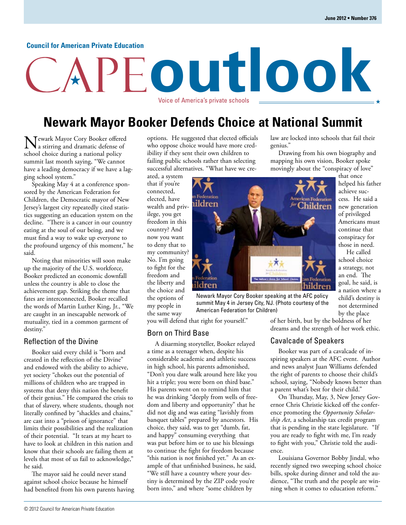#### **Council for American Private Education**

# **outlook** Voice of America's private schools

## **Newark Mayor Booker Defends Choice at National Summit**

Tewark Mayor Cory Booker offered a stirring and dramatic defense of school choice during a national policy summit last month saying, "We cannot have a leading democracy if we have a lagging school system."

Speaking May 4 at a conference sponsored by the American Federation for Children, the Democratic mayor of New Jersey's largest city repeatedly cited statistics suggesting an education system on the decline. "There is a cancer in our country eating at the soul of our being, and we must find a way to wake up everyone to the profound urgency of this moment," he said.

Noting that minorities will soon make up the majority of the U.S. workforce, Booker predicted an economic downfall unless the country is able to close the achievement gap. Striking the theme that fates are interconnected, Booker recalled the words of Martin Luther King, Jr., "We are caught in an inescapable network of mutuality, tied in a common garment of destiny."

#### Reflection of the Divine

Booker said every child is "born and created in the reflection of the Divine" and endowed with the ability to achieve, yet society "chokes out the potential of millions of children who are trapped in systems that deny this nation the benefit of their genius." He compared the crisis to that of slavery, where students, though not literally confined by "shackles and chains," are cast into a "prison of ignorance" that limits their possibilities and the realization of their potential. "It tears at my heart to have to look at children in this nation and know that their schools are failing them at levels that most of us fail to acknowledge," he said.

The mayor said he could never stand against school choice because he himself had benefited from his own parents having options. He suggested that elected officials who oppose choice would have more credibility if they sent their own children to failing public schools rather than selecting successful alternatives. "What have we cre-

ated, a system that if you're connected, elected, have wealth and privilege, you get freedom in this country? And now you want to deny that to my community? No. I'm going to fight for the freedom and the liberty and the choice and the options of my people in the same way



Newark Mayor Cory Booker speaking at the AFC policy summit May 4 in Jersey City, NJ. (Photo courtesy of the American Federation for Children)

you will defend that right for yourself."

#### Born on Third Base

A disarming storyteller, Booker relayed a time as a teenager when, despite his considerable academic and athletic success in high school, his parents admonished, "Don't you dare walk around here like you hit a triple; you were born on third base." His parents went on to remind him that he was drinking "deeply from wells of freedom and liberty and opportunity" that he did not dig and was eating "lavishly from banquet tables" prepared by ancestors. His choice, they said, was to get "dumb, fat, and happy" consuming everything that was put before him or to use his blessings to continue the fight for freedom because "this nation is not finished yet." As an example of that unfinished business, he said, "We still have a country where your destiny is determined by the ZIP code you're born into," and where "some children by

law are locked into schools that fail their genius."

Drawing from his own biography and mapping his own vision, Booker spoke movingly about the "conspiracy of love"

that once helped his father achieve success. He said a new generation of privileged Americans must continue that conspiracy for those in need.

He called school choice a strategy, not an end. The goal, he said, is a nation where a child's destiny is not determined by the place

of her birth, but by the boldness of her dreams and the strength of her work ethic.

#### Cavalcade of Speakers

Booker was part of a cavalcade of inspiring speakers at the AFC event. Author and news analyst Juan Williams defended the right of parents to choose their child's school, saying, "Nobody knows better than a parent what's best for their child."

On Thursday, May, 3, New Jersey Governor Chris Christie kicked off the conference promoting the *Opportunity Scholarship Act*, a scholarship tax credit program that is pending in the state legislature. "If you are ready to fight with me, I'm ready to fight with you," Christie told the audience.

Louisiana Governor Bobby Jindal, who recently signed two sweeping school choice bills, spoke during dinner and told the audience, "The truth and the people are winning when it comes to education reform."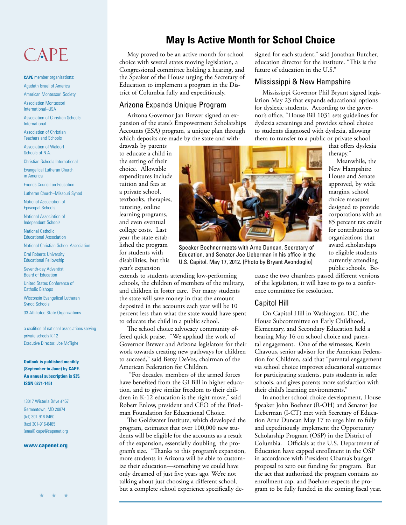## CAPE

**CAPE** member organizations: Agudath Israel of America

American Montessori Society

Association Montessori International–USA

Association of Christian Schools International

Association of Christian Teachers and Schools

Association of Waldorf Schools of N.A.

Christian Schools International

Evangelical Lutheran Church in America

Friends Council on Education

Lutheran Church–Missouri Synod

National Association of Episcopal Schools

National Association of Independent Schools

National Catholic Educational Association

National Christian School Association

Oral Roberts University Educational Fellowship

Seventh-day Adventist Board of Education

United States Conference of Catholic Bishops

Wisconsin Evangelical Lutheran Synod Schools

33 Affiliated State Organizations

a coalition of national associations serving private schools K-12 Executive Director: Joe McTighe

**Outlook is published monthly (September to June) by CAPE. An annual subscription is \$35. ISSN 0271-1451**

13017 Wisteria Drive #457 Germantown, MD 20874 (tel) 301-916-8460 (fax) 301-916-8485 (email) cape@capenet.org

#### **www.capenet.org**

## **May Is Active Month for School Choice**

May proved to be an active month for school choice with several states moving legislation, a Congressional committee holding a hearing, and the Speaker of the House urging the Secretary of Education to implement a program in the District of Columbia fully and expeditiously.

#### Arizona Expands Unique Program

Arizona Governor Jan Brewer signed an expansion of the state's Empowerment Scholarships Accounts (ESA) program, a unique plan through which deposits are made by the state and with-

drawals by parents to educate a child in the setting of their choice. Allowable expenditures include tuition and fees at a private school, textbooks, therapies, tutoring, online learning programs, and even eventual college costs. Last year the state established the program for students with disabilities, but this year's expansion



Speaker Boehner meets with Arne Duncan, Secretary of Education, and Senator Joe Lieberman in his office in the U.S. Capitol. May 17, 2012. (Photo by Bryant Avondoglio)

extends to students attending low-performing schools, the children of members of the military, and children in foster care. For many students the state will save money in that the amount deposited in the accounts each year will be 10 percent less than what the state would have spent to educate the child in a public school.

The school choice advocacy community offered quick praise. "We applaud the work of Governor Brewer and Arizona legislators for their work towards creating new pathways for children to succeed," said Betsy DeVos, chairman of the American Federation for Children.

 "For decades, members of the armed forces have benefited from the GI Bill in higher education, and to give similar freedom to their children in K-12 education is the right move," said Robert Enlow, president and CEO of the Friedman Foundation for Educational Choice.

The Goldwater Institute, which developed the program, estimates that over 100,000 new students will be eligible for the accounts as a result of the expansion, essentially doubling the program's size. "Thanks to this program's expansion, more students in Arizona will be able to customize their education—something we could have only dreamed of just five years ago. We're not talking about just choosing a different school, but a complete school experience specifically designed for each student," said Jonathan Butcher, education director for the institute. "This is the future of education in the U.S."

#### Mississippi & New Hampshire

Mississippi Governor Phil Bryant signed legislation May 23 that expands educational options for dyslexic students. According to the governor's office, "House Bill 1031 sets guidelines for dyslexia screenings and provides school choice to students diagnosed with dyslexia, allowing them to transfer to a public or private school

> that offers dyslexia therapy."

Meanwhile, the New Hampshire House and Senate approved, by wide margins, school choice measures designed to provide corporations with an 85 percent tax credit for contributions to organizations that award scholarships to eligible students currently attending public schools. Be-

cause the two chambers passed different versions of the legislation, it will have to go to a conference committee for resolution.

#### Capitol Hill

On Capitol Hill in Washington, DC, the House Subcommittee on Early Childhood, Elementary, and Secondary Education held a hearing May 16 on school choice and parental engagement. One of the witnesses, Kevin Chavous, senior advisor for the American Federation for Children, said that "parental engagement via school choice improves educational outcomes for participating students, puts students in safer schools, and gives parents more satisfaction with their child's learning environments."

In another school choice development, House Speaker John Boehner (R-OH) and Senator Joe Lieberman (I-CT) met with Secretary of Education Arne Duncan May 17 to urge him to fully and expeditiously implement the Opportunity Scholarship Program (OSP) in the District of Columbia. Officials at the U.S. Department of Education have capped enrollment in the OSP in accordance with President Obama's budget proposal to zero out funding for program. But the act that authorized the program contains no enrollment cap, and Boehner expects the program to be fully funded in the coming fiscal year.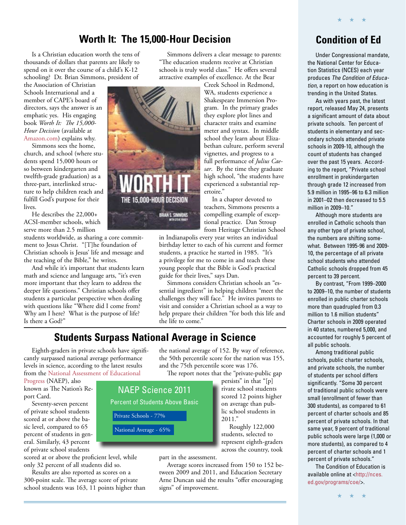### **Worth It: The 15,000-Hour Decision**

Is a Christian education worth the tens of thousands of dollars that parents are likely to spend on it over the course of a child's K-12 schooling? Dr. Brian Simmons, president of

the Association of Christian Schools International and a member of CAPE's board of directors, says the answer is an emphatic yes. His engaging book *Worth It: The 15,000- Hour Decision* (available at [Amazon.com\)](http://www.amazon.com/Worth-It-15-000-Hour-Decision/dp/1583313869/ref=sr_1_6?ie=UTF8&qid=1338318141&sr=8-6) explains why.

Simmons sees the home, church, and school (where students spend 15,000 hours or so between kindergarten and twelfth-grade graduation) as a three-part, interlinked structure to help children reach and fulfill God's purpose for their lives.

He describes the 22,000+ ACSI-member schools, which serve more than 2.5 million

students worldwide, as sharing a core commitment to Jesus Christ. "[T]he foundation of Christian schools is Jesus' life and message and the teaching of the Bible," he writes.

And while it's important that students learn math and science and language arts, "it's even more important that they learn to address the deeper life questions." Christian schools offer students a particular perspective when dealing with questions like "Where did I come from? Why am I here? What is the purpose of life? Is there a God?"



Simmons delivers a clear message to parents: "The education students receive at Christian schools is truly world class." He offers several attractive examples of excellence. At the Bear

Creek School in Redmond, WA, students experience a Shakespeare Immersion Program. In the primary grades they explore plot lines and character traits and examine meter and syntax. In middle school they learn about Elizabethan culture, perform several vignettes, and progress to a full performance of *Julius Caesar*. By the time they graduate high school, "the students have experienced a substantial repertoire."

In a chapter devoted to teachers, Simmons presents a compelling example of exceptional practice. Dan Stroup from Heritage Christian School

in Indianapolis every year writes an individual birthday letter to each of his current and former students, a practice he started in 1985. "It's a privilege for me to come in and teach these young people that the Bible is God's practical guide for their lives," says Dan.

Simmons considers Christian schools an "essential ingredient" in helping children "meet the challenges they will face." He invites parents to visit and consider a Christian school as a way to help prepare their children "for both this life and the life to come."

### **Students Surpass National Average in Science**

NAEP Science 2011 Percent of Students Above Basic

National Average - 65%

Private Schools - 77%

Eighth-graders in private schools have significantly surpassed national average performance levels in science, according to the latest results [from the National Assessment of Educational](http://nationsreportcard.gov/science_2011/) 

Progress (NAEP), also known as The Nation's Report Card.

Seventy-seven percent of private school students scored at or above the basic level, compared to 65 percent of students in general. Similarly, 43 percent of private school students

scored at or above the proficient level, while only 32 percent of all students did so.

Results are also reported as scores on a 300-point scale. The average score of private school students was 163, 11 points higher than

the national average of 152. By way of reference, the 50th percentile score for the nation was 155, and the 75th percentile score was 176. The report notes that the "private-public gap

> persists" in that "[p] rivate school students scored 12 points higher on average than public school students in

Roughly 122,000 students, selected to represent eighth-graders across the country, took

part in the assessment.

Average scores increased from 150 to 152 between 2009 and 2011, and Education Secretary Arne Duncan said the results "offer encouraging signs" of improvement.

2011."

## **Condition of Ed**

★ ★ ★

Under Congressional mandate, the National Center for Education Statistics (NCES) each year produces The Condition of Education, a report on how education is trending in the United States.

As with years past, the latest report, released May 24, presents a significant amount of data about private schools. Ten percent of students in elementary and secondary schools attended private schools in 2009-10, although the count of students has changed over the past 15 years. According to the report, "Private school enrollment in prekindergarten through grade 12 increased from 5.9 million in 1995–96 to 6.3 million in 2001–02 then decreased to 5.5 million in 2009–10."

Although more students are enrolled in Catholic schools than any other type of private school, the numbers are shifting somewhat. Between 1995-96 and 2009- 10, the percentage of all private school students who attended Catholic schools dropped from 45 percent to 39 percent.

By contrast, "From 1999–2000 to 2009–10, the number of students enrolled in public charter schools more than quadrupled from 0.3 million to 1.6 million students" Charter schools in 2009 operated in 40 states, numbered 5,000, and accounted for roughly 5 percent of all public schools.

Among traditional public schools, public charter schools, and private schools, the number of students per school differs significantly. "Some 30 percent of traditional public schools were small (enrollment of fewer than 300 students), as compared to 61 percent of charter schools and 85 percent of private schools. In that same year, 9 percent of traditional public schools were large (1,000 or more students), as compared to 4 percent of charter schools and 1 percent of private schools."

The Condition of Education is [available online at <http://nces.](http://nces.ed.gov/programs/coe/) ed.gov/programs/coe/>.